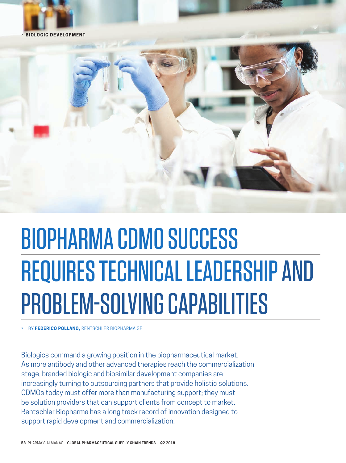



# BIOPHARMA CDMO SUCCESS REQUIRES TECHNICAL LEADERSHIP AND PROBLEM-SOLVING CAPABILITIES

> BY **FEDERICO POLLANO,** RENTSCHLER BIOPHARMA SE

Biologics command a growing position in the biopharmaceutical market. As more antibody and other advanced therapies reach the commercialization stage, branded biologic and biosimilar development companies are increasingly turning to outsourcing partners that provide holistic solutions. CDMOs today must offer more than manufacturing support; they must be solution providers that can support clients from concept to market. Rentschler Biopharma has a long track record of innovation designed to support rapid development and commercialization.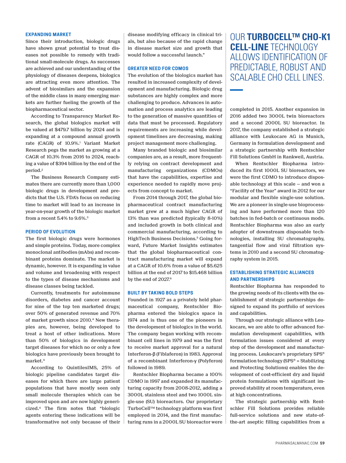#### **EXPANDING MARKET**

Since their introduction, biologic drugs have shown great potential to treat diseases not possible to remedy with traditional small-molecule drugs. As successes are achieved and our understanding of the physiology of diseases deepens, biologics are attracting even more attention. The advent of biosimilars and the expansion of the middle class in many emerging markets are further fueling the growth of the biopharmaceutical sector.

According to Transparency Market Research, the global biologics market will be valued at \$479.7 billion by 2024 and is expanding at a compound annual growth rate (CAGR) of 10.9%.<sup>1</sup> Variant Market Research pegs the market as growing at a CAGR of 10.3% from 2016 to 2024, reaching a value of \$394 billion by the end of the period.2

The Business Research Company estimates there are currently more than 1,000 biologic drugs in development and predicts that the U.S. FDA's focus on reducing time to market will lead to an increase in year-on-year growth of the biologic market from a recent 5.4% to 9.6%.3

#### **PERIOD OF EVOLUTION**

The first biologic drugs were hormones and simple proteins. Today, more complex monoclonal antibodies (mAbs) and recombinant proteins dominate. The market is dynamic, however. It is expanding in value and volume and broadening with respect to the types of disease mechanisms and disease classes being tackled.

Currently, treatments for autoimmune disorders, diabetes and cancer account for nine of the top ten marketed drugs; over 50% of generated revenue and 70% of market growth since 2010.4 New therapies are, however, being developed to treat a host of other indications. More than 50% of biologics in development target diseases for which no or only a few biologics have previously been brought to market.4

According to QuintilesIMS, 25% of biologic pipeline candidates target diseases for which there are large patient populations that have mostly seen only small molecule therapies which can be improved upon and are now highly genericized.4 The firm notes that "biologic agents entering these indications will be transformative not only because of their disease modifying efficacy in clinical trials, but also because of the rapid change in disease market size and growth that would follow a successful launch."

#### **GREATER NEED FOR CDMOS**

The evolution of the biologics market has resulted in increased complexity of development and manufacturing. Biologic drug substances are highly complex and more challenging to produce. Advances in automation and process analytics are leading to the generation of massive quantities of data that must be processed. Regulatory requirements are increasing while development timelines are decreasing, making project management more challenging.

Many branded biologic and biosimilar companies are, as a result, more frequently relying on contract development and manufacturing organizations (CDMOs) that have the capabilities, expertise and experience needed to rapidly move projects from concept to market.

From 2014 through 2017, the global biopharmaceutical contract manufacturing market grew at a much higher CAGR of 13% than was predicted (typically 8-10%) and included growth in both clinical and commercial manufacturing, according to HighTech Business Decisions.<sup>5</sup> Going forward, Future Market Insights estimates that the global biopharmaceutical contract manufacturing market will expand at a CAGR of 10.6% from a value of \$5.625 billion at the end of 2017 to \$15.468 billion by the end of 2027.<sup>6</sup>

#### **BUILT BY TAKING BOLD STEPS**

Founded in 1927 as a privately held pharmaceutical company, Rentschler Biopharma entered the biologics space in 1974 and is thus one of the pioneers in the development of biologics in the world. The company began working with recombinant cell lines in 1979 and was the first to receive market approval for a natural Interferon-**β** (Fiblaferon) in 1983. Approval of a recombinant Interferon-**γ** (Polyferon) followed in 1989.

Rentschler Biopharma became a 100% CDMO in 1997 and expanded its manufacturing capacity from 2008-2012, adding a 3000L stainless steel and two 1000L single-use (SU) bioreactors. Our proprietary TurboCell™ technology platform was first employed in 2014, and the first manufacturing runs in a 2000L SU bioreactor were

OUR **TURBOCELL™ CHO-K1 CELL-LINE** TECHNOLOGY ALLOWS IDENTIFICATION OF PREDICTABLE, ROBUST AND SCALABLE CHO CELL LINES.

completed in 2015. Another expansion in 2016 added two 3000L twin bioreactors and a second 2000L SU bioreactor. In 2017, the company established a strategic alliance with Leukocare AG in Munich, Germany in formulation development and a strategic partnership with Rentschler Fill Solutions GmbH in Rankweil, Austria.

When Rentschler Biopharma introduced its first 1000L SU bioreactors, we were the first CDMO to introduce disposable technology at this scale — and won a "Facility of the Year" award in 2012 for our modular and flexible single-use solution. We are a pioneer in single-use bioprocessing and have performed more than 120 batches in fed-batch or continuous mode. Rentschler Biopharma was also an early adopter of downstream disposable technologies, installing SU chromatography, tangential flow and viral filtration systems in 2010 and a second SU chromatography system in 2015.

#### **ESTABLISHING STRATEGIC ALLIANCES AND PARTNERSHIPS**

Rentschler Biopharma has responded to the growing needs of its clients with the establishment of strategic partnerships designed to expand its portfolio of services and capabilities.

Through our strategic alliance with Leukocare, we are able to offer advanced formulation development capabilities, with formulation issues considered at every step of the development and manufacturing process. Leukocare's proprietary SPS® formulation technology (SPS® = Stabilizing and Protecting Solutions) enables the development of cost-efficient dry and liquid protein formulations with significant improved stability at room temperature, even at high concentrations.

The strategic partnership with Rentschler Fill Solutions provides reliable full-service solutions and new state-ofthe-art aseptic filling capabilities from a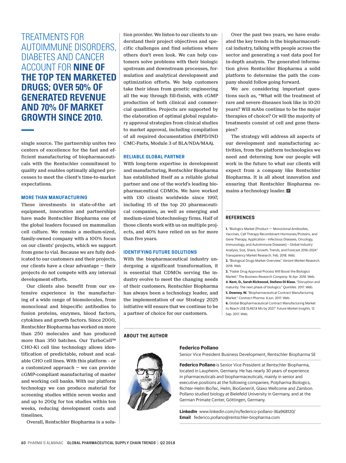TREATMENTS FOR AUTOIMMUNE DISORDERS, DIABETES AND CANCER ACCOUNT FOR **NINE OF THE TOP TEN MARKETED DRUGS; OVER 50% OF GENERATED REVENUE AND 70% OF MARKET GROWTH SINCE 2010.** 

single source. The partnership unites two centers of excellence for the fast and efficient manufacturing of biopharmaceuticals with the Rentschler commitment to quality and enables optimally aligned processes to meet the client's time-to-market expectations.

#### **MORE THAN MANUFACTURING**

These investments in state-of-the art equipment, innovation and partnerships have made Rentschler Biopharma one of the global leaders focused on mammalian cell culture. We remain a medium-sized, family-owned company with a 100% focus on our clients' projects, which we support from gene to vial. Because we are fully dedicated to our customers and their projects, our clients have a clear advantage — their projects do not compete with any internal development efforts.

Our clients also benefit from our extensive experience in the manufacturing of a wide range of biomolecules, from monoclonal and bispecific antibodies to fusion proteins, enzymes, blood factors, cytokines and growth factors. Since 2000, Rentschler Biopharma has worked on more than 250 molecules and has produced more than 350 batches. Our TurboCell™ CHO-K1 cell line technology allows identification of predictable, robust and scalable CHO cell lines. With this platform – or a customized approach — we can provide cGMP-compliant manufacturing of master and working cell banks. With our platform technology we can produce material for screening studies within seven weeks and and up to 200g for tox studies within ten weeks, reducing development costs and timelines.

Overall, Rentschler Biopharma is a solu-

tion provider. We listen to our clients to understand their project objectives and specific challenges and find solutions where others don't even look. We can help customers solve problems with their biologic upstream and downstream processes, formulation and analytical development and optimization efforts. We help customers take their ideas from genetic engineering all the way through fill-finish, with cGMP production of both clinical and commercial quantities. Projects are supported by the elaboration of optimal global regulatory approval strategies from clinical studies to market approval, including compilation of all required documentation (IMPD/IND CMC-Parts, Module 3 of BLA/NDA/MAA).

#### **RELIABLE GLOBAL PARTNER**

With long-term expertise in development and manufacturing, Rentschler Biopharma has established itself as a reliable global partner and one of the world's leading biopharmaceutical CDMOs. We have worked with 130 clients worldwide since 1997, including 15 of the top 20 pharmaceutical companies, as well as emerging and medium-sized biotechnology firms. Half of those clients work with us on multiple projects, and 40% have relied on us for more than five years.

#### **IDENTIFYING FUTURE SOLUTIONS**

With the biopharmaceutical industry undergoing a significant transformation, it is essential that CDMOs serving the industry evolve to meet the changing needs of their customers. Rentschler Biopharma has always been a technology leader, and the implementation of our Strategy 2025 initiative will ensure that we continue to be a partner of choice for our customers.

#### **ABOUT THE AUTHOR**



#### **Federico Pollano**

Senior Vice President Business Development, Rentschler Biopharma SE

**Federico Pollano** is Senior Vice President at Rentschler Biopharma, located in Laupheim, Germany. He has nearly 30 years of experience in pharmaceuticals and biopharmaceuticals, mainly in senior and executive positions at the following companies; Polpharma Biologics, Richter-Helm BioTec, Helm, BioGeneriX, Glaxo Wellcome and Zambon. Pollano studied biology at Bielefeld University in Germany, and at the German Primate Center, Göttingen, Germany.

**LinkedIn** www.linkedin.com/in/federico-pollano-36a968120/ **Email** federico.pollano@rentschler-biopharma.com

Over the past two years, we have evaluated the key trends in the biopharmaceutical industry, talking with people across the sector and generating a vast data pool for in-depth analysis. The generated information gives Rentschler Biopharma a solid platform to determine the path the company should follow going forward.

We are considering important questions such as, "What will the treatment of rare and severe diseases look like in 10-20 years? Will mAbs continue to be the major therapies of choice? Or will the majority of treatments consist of cell and gene therapies?

The strategy will address all aspects of our development and manufacturing activities, from the platform technologies we need and determing how our people will work in the future to what our clients will expect from a company like Rentschler Biopharma. It is all about innovation and ensuring that Rentschler Biopharma remains a technology leader.  $\blacksquare$ 

#### **REFERENCES**

**1.** "Biologics Market (Product — Monoclonal Antibodies, Vaccines, Cell Therapy Recombinant Hormones/Proteins, and Gene Therapy; Application - Infectious Diseases, Oncology, Immunology, and Autoimmune Diseases) – Global Industry Analysis, Size, Share, Growth, Trends, and Forecast 2016–2024." Transparency Market Research. Feb. 2018. Web. **2.** "Biological Drugs Market Overview." *Variant Market Research.*  2018. Web.

**3.** "Faster Drug Approval Process Will Boost the Biologics Market." *The Business Research Company.* 16 Apr. 2018. Web. **4. Kent, D., Sarah Rickwood, Stefano Di Biase.** "Disruption and maturity: The next phase of biologics." *Quintiles.* 2017. Web. **5. Downey, W.** "Biopharmaceutical Contract Manufacturing Market." *Contract Pharma.* 6 Jun. 2017. Web. **6.** Global Biopharmaceutical Contract Manufacturing Market

to Reach US\$ 15,467.8 Mn by 2027." *Future Market Insights*. 12 Sep. 2017. Web.